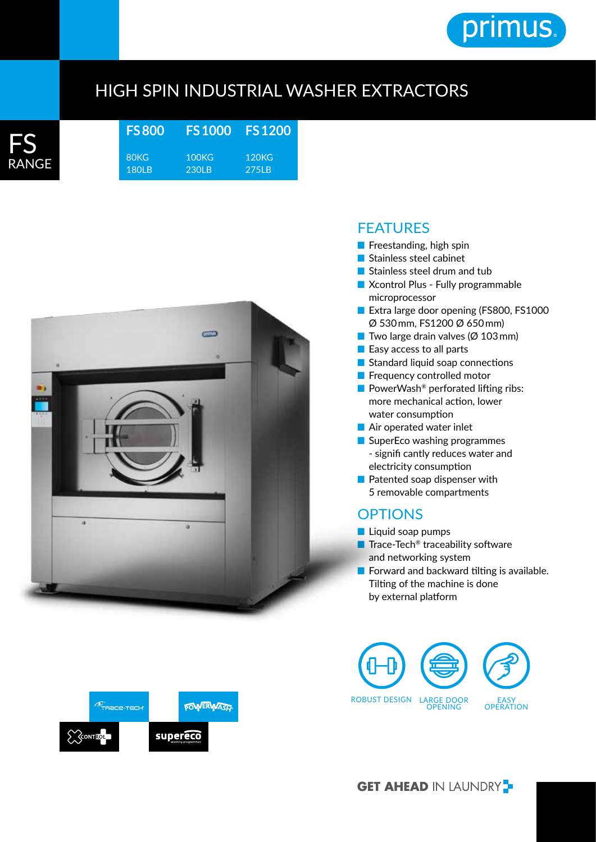

## HIGH SPIN INDUSTRIAL WASHER EXTRACTORS



**FS 800** 80KG 180LB **FS 1000** 100KG 230LB **FS 1200** 120KG 275LB





- Freestanding, high spin
- Stainless steel cabinet
- Stainless steel drum and tub
- Xcontrol Plus Fully programmable microprocessor
- Extra large door opening (FS800, FS1000 Ø 530 mm, FS1200 Ø 650 mm)
- Two large drain valves ( $\varnothing$  103 mm)
- Easy access to all parts
- Standard liquid soap connections
- Frequency controlled motor
- PowerWash<sup>®</sup> perforated lifting ribs: more mechanical action, lower water consumption
- Air operated water inlet
- SuperEco washing programmes - signifi cantly reduces water and electricity consumption
- Patented soap dispenser with 5 removable compartments

## **OPTIONS**

- Liquid soap pumps
- Trace-Tech<sup>®</sup> traceability software and networking system
- Forward and backward tilting is available. Tilting of the machine is done by external platform





**GET AHEAD IN LAUNDRY**